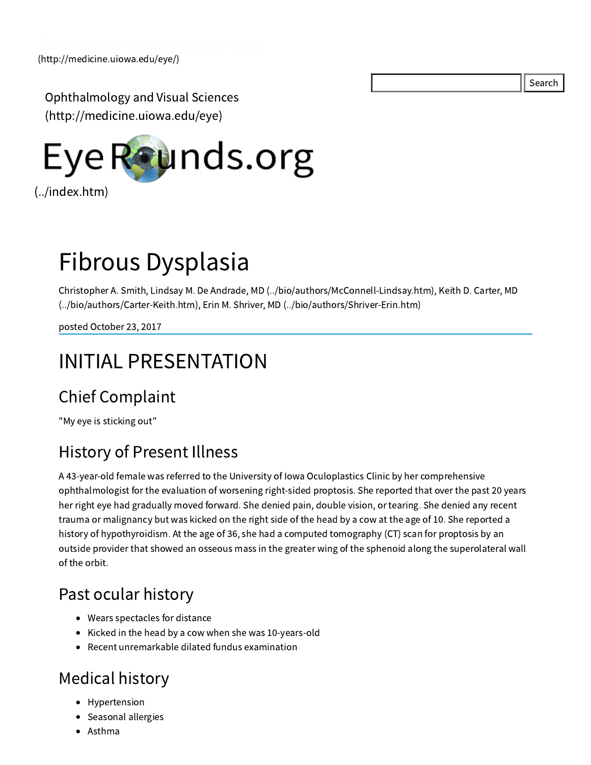Search

Ophthalmology and Visual Sciences [\(http://medicine.uiowa.edu/eye\)](http://medicine.uiowa.edu/eye)



# Fibrous Dysplasia

Christopher A. Smith, Lindsay M. De Andrade, MD [\(../bio/authors/McConnell-Lindsay.htm\)](file:///Volumes/Blue/Sites/eyeforum/bio/authors/McConnell-Lindsay.htm)[,](file:///Volumes/Blue/Sites/eyeforum/bio/authors/Carter-Keith.htm) Keith D. Carter, MD (../bio/authors/Carter-Keith.htm), Erin M. Shriver, MD [\(../bio/authors/Shriver-Erin.htm\)](file:///Volumes/Blue/Sites/eyeforum/bio/authors/Shriver-Erin.htm)

posted October 23, 2017

## INITIAL PRESENTATION

### Chief Complaint

"My eye is sticking out"

### History of Present Illness

A 43-year-old female was referred to the University of Iowa Oculoplastics Clinic by her comprehensive ophthalmologist for the evaluation of worsening right-sided proptosis. She reported that over the past 20 years her right eye had gradually moved forward. She denied pain, double vision, or tearing. She denied any recent trauma or malignancy but was kicked on the right side of the head by a cow at the age of 10. She reported a history of hypothyroidism. At the age of 36, she had a computed tomography (CT) scan for proptosis by an outside provider that showed an osseous mass in the greater wing of the sphenoid along the superolateral wall of the orbit.

### Past ocular history

- Wears spectacles for distance
- Kicked in the head by a cow when she was 10-years-old
- Recent unremarkable dilated fundus examination

### Medical history

- Hypertension
- Seasonal allergies
- Asthma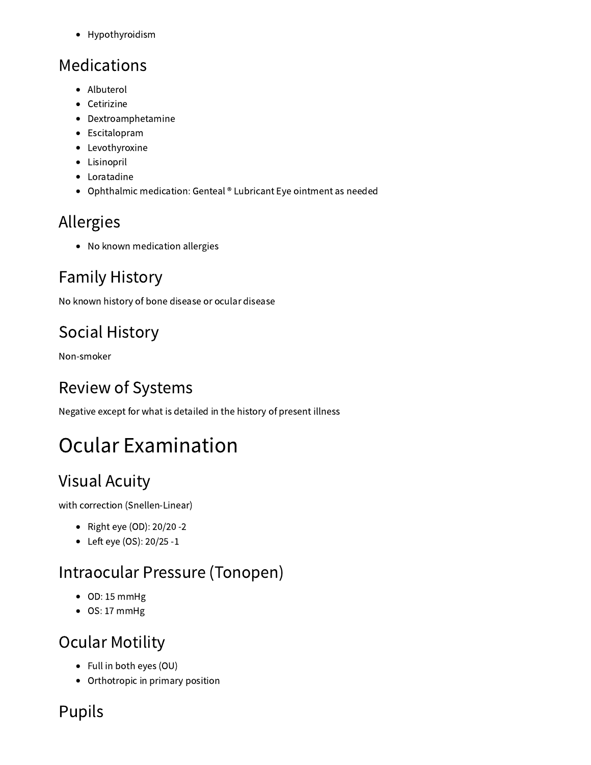• Hypothyroidism

#### Medications

- Albuterol
- Cetirizine
- Dextroamphetamine
- Escitalopram
- Levothyroxine
- Lisinopril
- Loratadine
- Ophthalmic medication: Genteal ® Lubricant Eye ointment as needed

## Allergies

• No known medication allergies

## Family History

No known history of bone disease or ocular disease

## Social History

Non-smoker

## Review of Systems

Negative except for what is detailed in the history of present illness

# Ocular Examination

### Visual Acuity

with correction (Snellen-Linear)

- Right eye (OD): 20/20 -2
- $\bullet$  Left eye (OS): 20/25 -1

### Intraocular Pressure (Tonopen)

- OD: 15 mmHg
- OS: 17 mmHg

### Ocular Motility

- Full in both eyes (OU)
- Orthotropic in primary position

### Pupils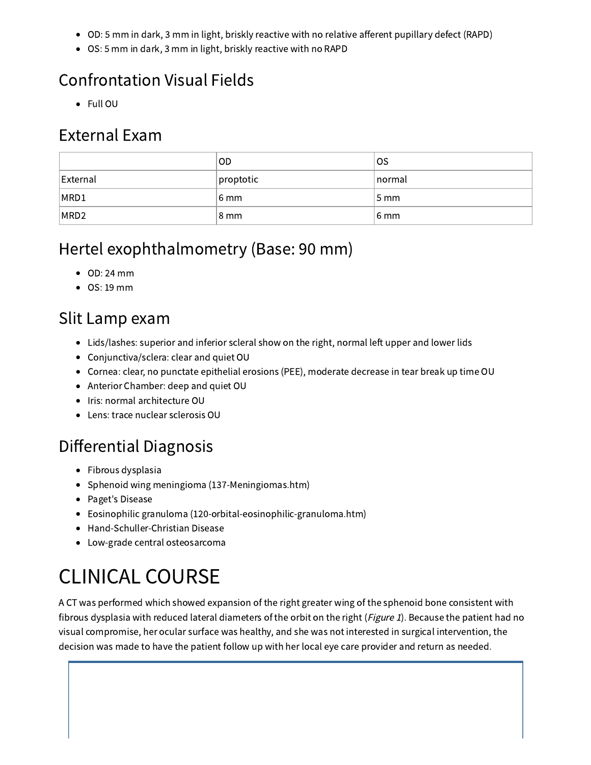- OD: 5 mm in dark, 3 mm in light, briskly reactive with no relative afferent pupillary defect (RAPD)
- OS: 5 mm in dark, 3 mm in light, briskly reactive with no RAPD

### Confrontation Visual Fields

Full OU

#### External Exam

|          | <b>OD</b>     | <b>OS</b>      |
|----------|---------------|----------------|
| External | $ $ proptotic | normal         |
| MRD1     | 6 mm          | $5 \text{ mm}$ |
| MRD2     | 8 mm          | 6 mm           |

### Hertel exophthalmometry (Base: 90 mm)

- $\bullet$  OD: 24 mm
- OS: 19 mm

### Slit Lamp exam

- Lids/lashes: superior and inferior scleral show on the right, normal left upper and lower lids
- Conjunctiva/sclera: clear and quiet OU
- Cornea: clear, no punctate epithelial erosions (PEE), moderate decrease in tear break up time OU
- Anterior Chamber: deep and quiet OU
- Iris: normal architecture OU
- Lens: trace nuclear sclerosis OU

### Differential Diagnosis

- Fibrous dysplasia
- Sphenoid wing meningioma [\(137-Meningiomas.htm\)](file:///Volumes/Blue/Sites/eyeforum/cases/137-Meningiomas.htm)
- Paget's Disease
- Eosinophilic granuloma [\(120-orbital-eosinophilic-granuloma.htm\)](file:///Volumes/Blue/Sites/eyeforum/cases/120-orbital-eosinophilic-granuloma.htm)
- Hand-Schuller-Christian Disease
- Low-grade central osteosarcoma

# CLINICAL COURSE

A CT was performed which showed expansion of the right greater wing of the sphenoid bone consistent with fibrous dysplasia with reduced lateral diameters of the orbit on the right (*Figure 1*). Because the patient had no visual compromise, her ocular surface was healthy, and she was not interested in surgical intervention, the decision was made to have the patient follow up with her local eye care provider and return as needed.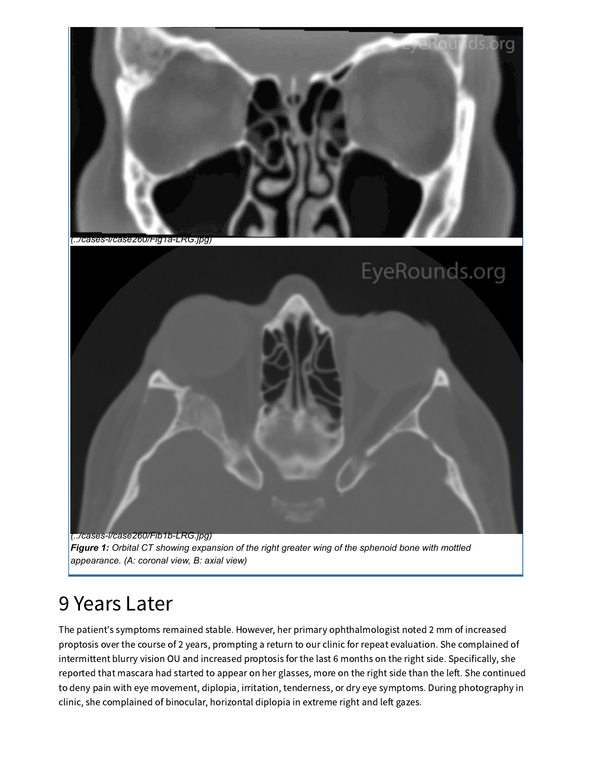

*Figure 1: Orbital CT showing expansion of the right greater wing of the sphenoid bone with mottled appearance. (A: coronal view, B: axial view)*

## 9 Years Later

The patient's symptoms remained stable. However, her primary ophthalmologist noted 2 mm of increased proptosis over the course of 2 years, prompting a return to our clinic for repeat evaluation. She complained of intermittent blurry vision OU and increased proptosis for the last 6 months on the right side. Specifically, she reported that mascara had started to appear on her glasses, more on the right side than the left. She continued to deny pain with eye movement, diplopia, irritation, tenderness, or dry eye symptoms. During photography in clinic, she complained of binocular, horizontal diplopia in extreme right and left gazes.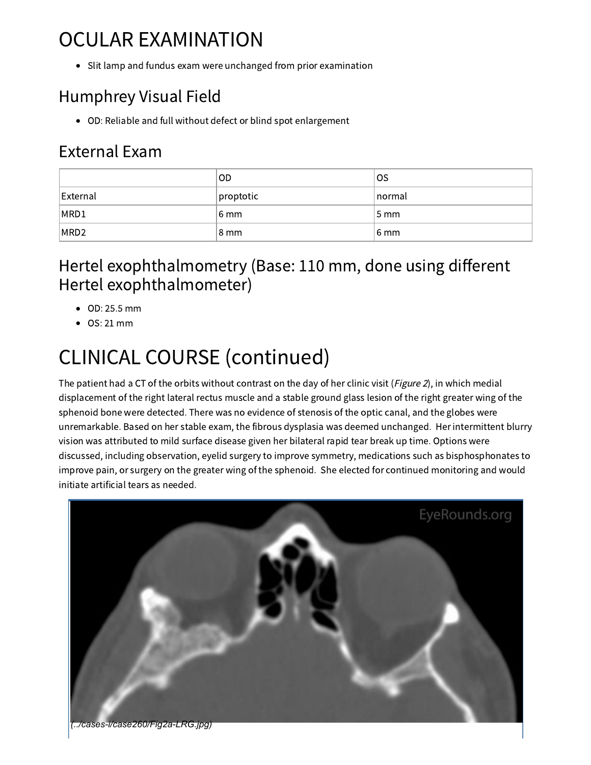## OCULAR EXAMINATION

Slit lamp and fundus exam were unchanged from prior examination

### Humphrey Visual Field

OD: Reliable and full without defect or blind spot enlargement

#### External Exam

|          | <b>OD</b>     | 0S                |
|----------|---------------|-------------------|
| External | $ $ proptotic | normal            |
| MRD1     | 6 mm          | $5 \,\mathrm{mm}$ |
| MRD2     | 8 mm          | 6 <sub>mm</sub>   |

#### Hertel exophthalmometry (Base: 110 mm, done using different Hertel exophthalmometer)

- OD: 25.5 mm
- $\bullet$  OS: 21 mm

## CLINICAL COURSE (continued)

The patient had a CT of the orbits without contrast on the day of her clinic visit (*Figure 2*), in which medial displacement of the right lateral rectus muscle and a stable ground glass lesion of the right greater wing of the sphenoid bone were detected. There was no evidence of stenosis of the optic canal, and the globes were unremarkable. Based on her stable exam, the fibrous dysplasia was deemed unchanged. Her intermittent blurry vision was attributed to mild surface disease given her bilateral rapid tear break up time. Options were discussed, including observation, eyelid surgery to improve symmetry, medications such as bisphosphonates to improve pain, or surgery on the greater wing of the sphenoid. She elected for continued monitoring and would initiate artificial tears as needed.

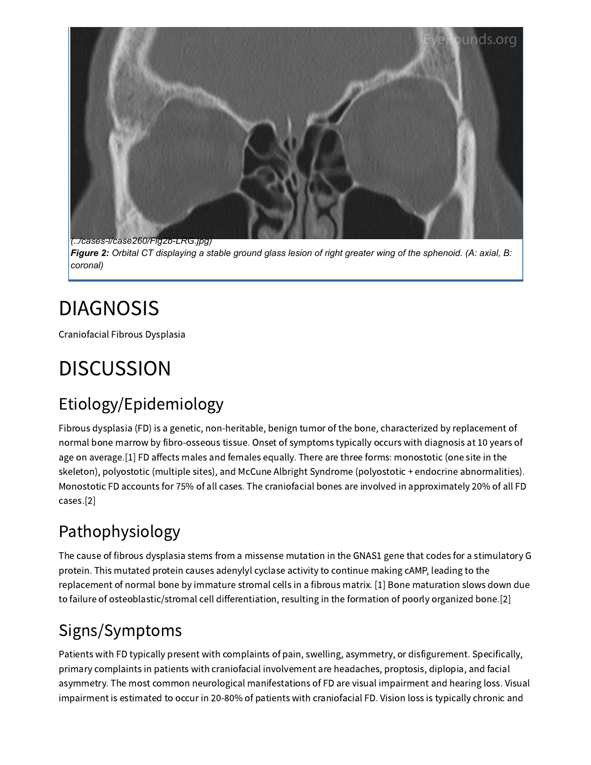

Figure 2: Orbital CT displaying a stable ground glass lesion of right greater wing of the sphenoid. (A: axial, B: *coronal)*

## DIAGNOSIS

Craniofacial Fibrous Dysplasia

## **DISCUSSION**

### Etiology/Epidemiology

Fibrous dysplasia (FD) is a genetic, non-heritable, benign tumor of the bone, characterized by replacement of normal bone marrow by fibro-osseous tissue. Onset of symptoms typically occurs with diagnosis at 10 years of age on average.[1] FD affects males and females equally. There are three forms: monostotic (one site in the skeleton), polyostotic (multiple sites), and McCune Albright Syndrome (polyostotic + endocrine abnormalities). Monostotic FD accounts for 75% of all cases. The craniofacial bones are involved in approximately 20% of all FD cases.[2]

### Pathophysiology

The cause of fibrous dysplasia stems from a missense mutation in the GNAS1 gene that codes for a stimulatory G protein. This mutated protein causes adenylyl cyclase activity to continue making cAMP, leading to the replacement of normal bone by immature stromal cells in a fibrous matrix. [1] Bone maturation slows down due to failure of osteoblastic/stromal cell differentiation, resulting in the formation of poorly organized bone.[2]

### Signs/Symptoms

Patients with FD typically present with complaints of pain, swelling, asymmetry, or disfigurement. Specifically, primary complaints in patients with craniofacial involvement are headaches, proptosis, diplopia, and facial asymmetry. The most common neurological manifestations of FD are visual impairment and hearing loss. Visual impairment is estimated to occur in 20-80% of patients with craniofacial FD. Vision loss is typically chronic and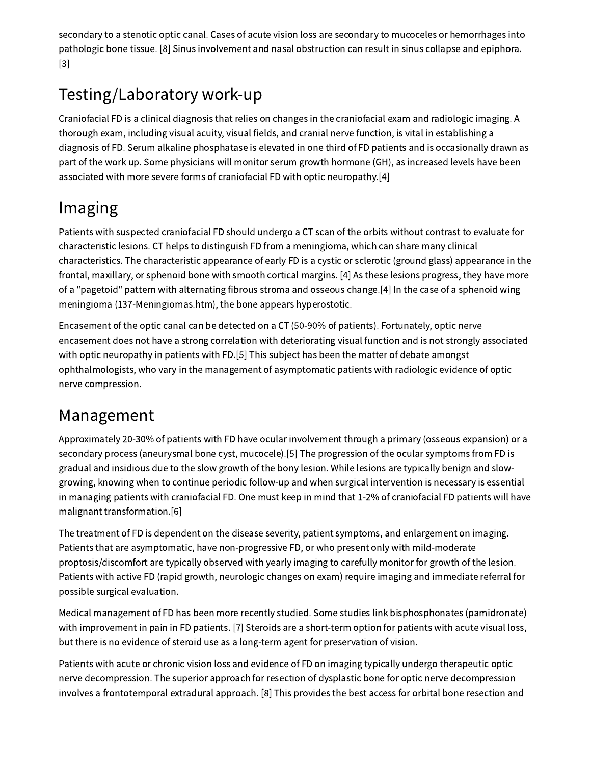secondary to a stenotic optic canal. Cases of acute vision loss are secondary to mucoceles or hemorrhages into pathologic bone tissue. [8] Sinus involvement and nasal obstruction can result in sinus collapse and epiphora. [3]

### Testing/Laboratory work-up

Craniofacial FD is a clinical diagnosis that relies on changes in the craniofacial exam and radiologic imaging. A thorough exam, including visual acuity, visual fields, and cranial nerve function, is vital in establishing a diagnosis of FD. Serum alkaline phosphatase is elevated in one third of FD patients and is occasionally drawn as part of the work up. Some physicians will monitor serum growth hormone (GH), as increased levels have been associated with more severe forms of craniofacial FD with optic neuropathy.[4]

### Imaging

Patients with suspected craniofacial FD should undergo a CT scan of the orbits without contrast to evaluate for characteristic lesions. CT helps to distinguish FD from a meningioma, which can share many clinical characteristics. The characteristic appearance of early FD is a cystic or sclerotic (ground glass) appearance in the frontal, maxillary, or sphenoid bone with smooth cortical margins. [4] As these lesions progress, they have more of a "pagetoid" pattern with alternating fibrous stroma and osseous change.[4] In the case of a sphenoid wing meningioma [\(137-Meningiomas.htm\),](file:///Volumes/Blue/Sites/eyeforum/cases/137-Meningiomas.htm) the bone appears hyperostotic.

Encasement of the optic canal can be detected on a CT (50-90% of patients). Fortunately, optic nerve encasement does not have a strong correlation with deteriorating visual function and is not strongly associated with optic neuropathy in patients with FD.[5] This subject has been the matter of debate amongst ophthalmologists, who vary in the management of asymptomatic patients with radiologic evidence of optic nerve compression.

### Management

Approximately 20-30% of patients with FD have ocular involvement through a primary (osseous expansion) or a secondary process (aneurysmal bone cyst, mucocele).[5] The progression of the ocular symptoms from FD is gradual and insidious due to the slow growth of the bony lesion. While lesions are typically benign and slowgrowing, knowing when to continue periodic follow-up and when surgical intervention is necessary is essential in managing patients with craniofacial FD. One must keep in mind that 1-2% of craniofacial FD patients will have malignant transformation.[6]

The treatment of FD is dependent on the disease severity, patient symptoms, and enlargement on imaging. Patients that are asymptomatic, have non-progressive FD, or who present only with mild-moderate proptosis/discomfort are typically observed with yearly imaging to carefully monitor for growth of the lesion. Patients with active FD (rapid growth, neurologic changes on exam) require imaging and immediate referral for possible surgical evaluation.

Medical management of FD has been more recently studied. Some studies link bisphosphonates (pamidronate) with improvement in pain in FD patients. [7] Steroids are a short-term option for patients with acute visual loss, but there is no evidence of steroid use as a long-term agent for preservation of vision.

Patients with acute or chronic vision loss and evidence of FD on imaging typically undergo therapeutic optic nerve decompression. The superior approach for resection of dysplastic bone for optic nerve decompression involves a frontotemporal extradural approach. [8] This provides the best access for orbital bone resection and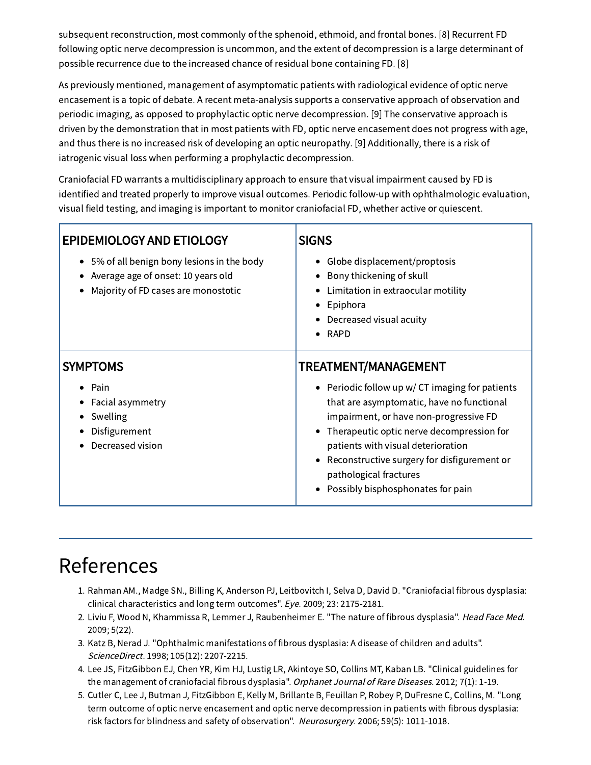subsequent reconstruction, most commonly of the sphenoid, ethmoid, and frontal bones. [8] Recurrent FD following optic nerve decompression is uncommon, and the extent of decompression is a large determinant of possible recurrence due to the increased chance of residual bone containing FD. [8]

As previously mentioned, management of asymptomatic patients with radiological evidence of optic nerve encasement is a topic of debate. A recent meta-analysis supports a conservative approach of observation and periodic imaging, as opposed to prophylactic optic nerve decompression. [9] The conservative approach is driven by the demonstration that in most patients with FD, optic nerve encasement does not progress with age, and thus there is no increased risk of developing an optic neuropathy. [9] Additionally, there is a risk of iatrogenic visual loss when performing a prophylactic decompression.

Craniofacial FD warrants a multidisciplinary approach to ensure that visual impairment caused by FD is identified and treated properly to improve visual outcomes. Periodic follow-up with ophthalmologic evaluation, visual field testing, and imaging is important to monitor craniofacial FD, whether active or quiescent.

| <b>EPIDEMIOLOGY AND ETIOLOGY</b><br>5% of all benign bony lesions in the body<br>$\bullet$<br>Average age of onset: 10 years old<br>Majority of FD cases are monostotic | <b>SIGNS</b><br>Globe displacement/proptosis<br>Bony thickening of skull<br>Limitation in extraocular motility<br>Epiphora<br>Decreased visual acuity<br><b>RAPD</b>                                                                                                                                                                                                       |
|-------------------------------------------------------------------------------------------------------------------------------------------------------------------------|----------------------------------------------------------------------------------------------------------------------------------------------------------------------------------------------------------------------------------------------------------------------------------------------------------------------------------------------------------------------------|
| <b>SYMPTOMS</b><br>Pain<br>Facial asymmetry<br>Swelling<br>$\bullet$<br>Disfigurement<br>$\bullet$<br>Decreased vision                                                  | TREATMENT/MANAGEMENT<br>Periodic follow up w/ CT imaging for patients<br>that are asymptomatic, have no functional<br>impairment, or have non-progressive FD<br>Therapeutic optic nerve decompression for<br>patients with visual deterioration<br>Reconstructive surgery for disfigurement or<br>pathological fractures<br>Possibly bisphosphonates for pain<br>$\bullet$ |

### References

- 1. Rahman AM., Madge SN., Billing K, Anderson PJ, Leitbovitch I, Selva D, David D. "Craniofacial fibrous dysplasia: clinical characteristics and long term outcomes". Eye. 2009; 23: 2175-2181.
- 2. Liviu F, Wood N, Khammissa R, Lemmer J, Raubenheimer E. "The nature of fibrous dysplasia". Head Face Med. 2009; 5(22).
- 3. Katz B, Nerad J. "Ophthalmic manifestations of fibrous dysplasia: A disease of children and adults". ScienceDirect. 1998; 105(12): 2207-2215.
- 4. Lee JS, FitzGibbon EJ, Chen YR, Kim HJ, Lustig LR, Akintoye SO, Collins MT, Kaban LB. "Clinical guidelines for the management of craniofacial fibrous dysplasia". Orphanet Journal of Rare Diseases. 2012; 7(1): 1-19.
- 5. Cutler C, Lee J, Butman J, FitzGibbon E, Kelly M, Brillante B, Feuillan P, Robey P, DuFresne C, Collins, M. "Long term outcome of optic nerve encasement and optic nerve decompression in patients with fibrous dysplasia: risk factors for blindness and safety of observation". Neurosurgery. 2006; 59(5): 1011-1018.